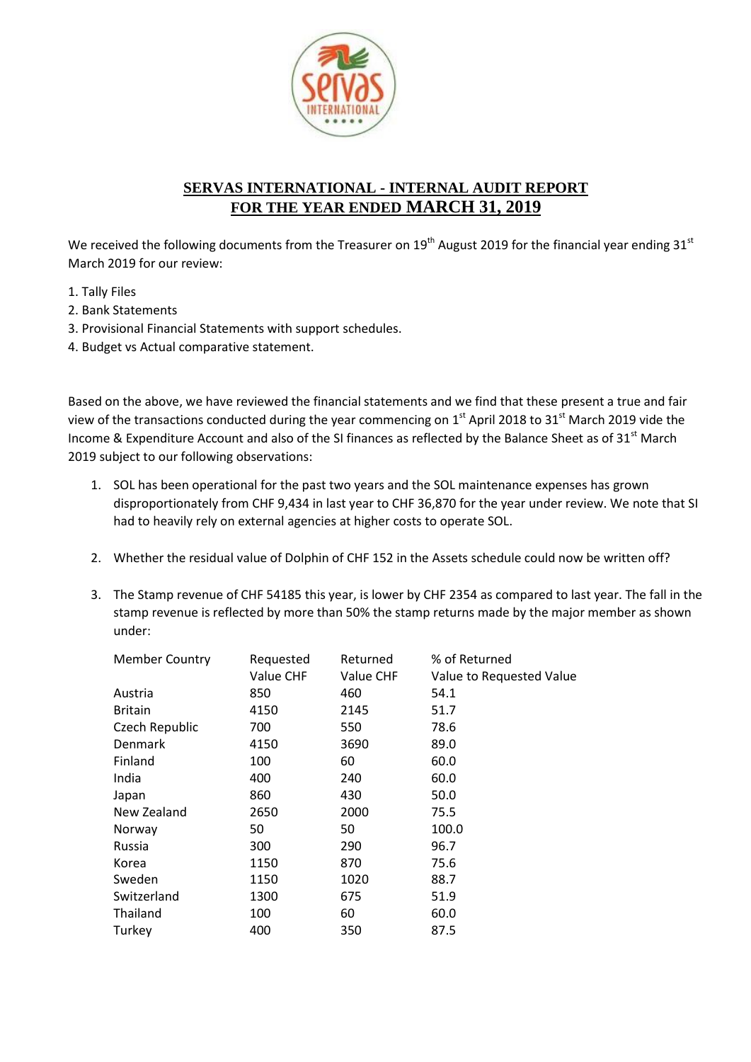

## **SERVAS INTERNATIONAL - INTERNAL AUDIT REPORT FOR THE YEAR ENDED MARCH 31, 2019**

We received the following documents from the Treasurer on 19<sup>th</sup> August 2019 for the financial year ending 31<sup>st</sup> March 2019 for our review:

- 1. Tally Files
- 2. Bank Statements
- 3. Provisional Financial Statements with support schedules.
- 4. Budget vs Actual comparative statement.

Based on the above, we have reviewed the financial statements and we find that these present a true and fair view of the transactions conducted during the year commencing on  $1<sup>st</sup>$  April 2018 to 31 $<sup>st</sup>$  March 2019 vide the</sup> Income & Expenditure Account and also of the SI finances as reflected by the Balance Sheet as of 31<sup>st</sup> March 2019 subject to our following observations:

- 1. SOL has been operational for the past two years and the SOL maintenance expenses has grown disproportionately from CHF 9,434 in last year to CHF 36,870 for the year under review. We note that SI had to heavily rely on external agencies at higher costs to operate SOL.
- 2. Whether the residual value of Dolphin of CHF 152 in the Assets schedule could now be written off?
- 3. The Stamp revenue of CHF 54185 this year, is lower by CHF 2354 as compared to last year. The fall in the stamp revenue is reflected by more than 50% the stamp returns made by the major member as shown under:

| <b>Member Country</b> | Requested<br>Value CHF | Returned<br>Value CHF | % of Returned<br>Value to Requested Value |
|-----------------------|------------------------|-----------------------|-------------------------------------------|
| Austria               | 850                    | 460                   | 54.1                                      |
| <b>Britain</b>        | 4150                   | 2145                  | 51.7                                      |
| Czech Republic        | 700                    | 550                   | 78.6                                      |
| Denmark               | 4150                   | 3690                  | 89.0                                      |
| Finland               | 100                    | 60                    | 60.0                                      |
| India                 | 400                    | 240                   | 60.0                                      |
| Japan                 | 860                    | 430                   | 50.0                                      |
| New Zealand           | 2650                   | 2000                  | 75.5                                      |
| Norway                | 50                     | 50                    | 100.0                                     |
| Russia                | 300                    | 290                   | 96.7                                      |
| Korea                 | 1150                   | 870                   | 75.6                                      |
| Sweden                | 1150                   | 1020                  | 88.7                                      |
| Switzerland           | 1300                   | 675                   | 51.9                                      |
| Thailand              | 100                    | 60                    | 60.0                                      |
| Turkey                | 400                    | 350                   | 87.5                                      |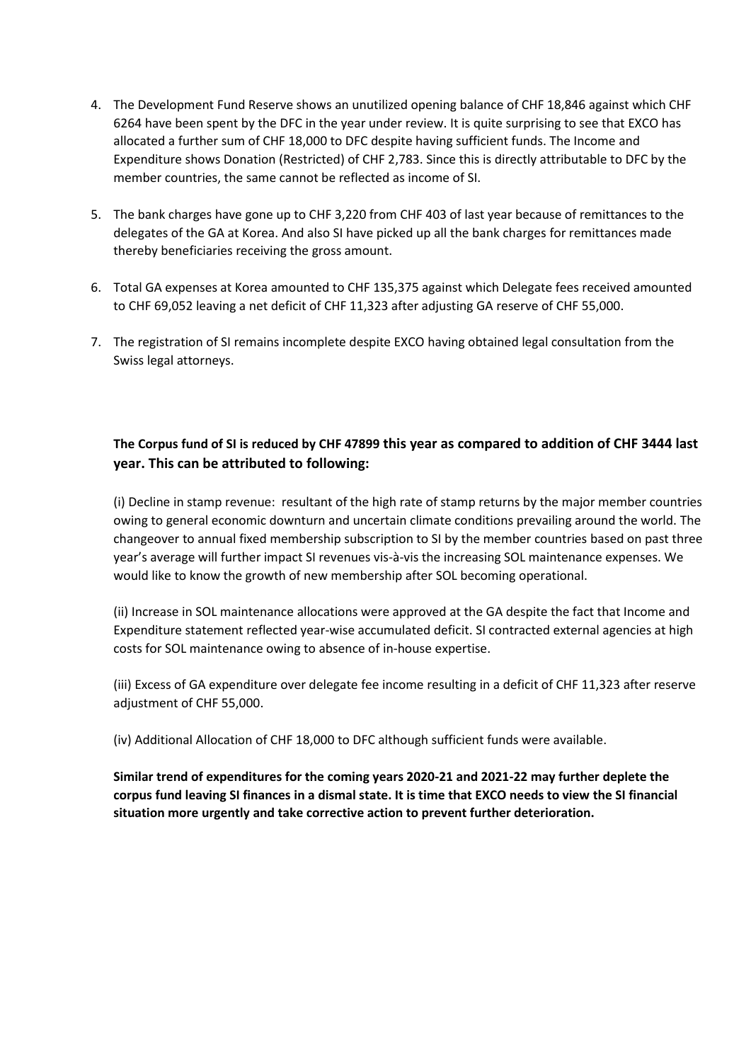- 4. The Development Fund Reserve shows an unutilized opening balance of CHF 18,846 against which CHF 6264 have been spent by the DFC in the year under review. It is quite surprising to see that EXCO has allocated a further sum of CHF 18,000 to DFC despite having sufficient funds. The Income and Expenditure shows Donation (Restricted) of CHF 2,783. Since this is directly attributable to DFC by the member countries, the same cannot be reflected as income of SI.
- 5. The bank charges have gone up to CHF 3,220 from CHF 403 of last year because of remittances to the delegates of the GA at Korea. And also SI have picked up all the bank charges for remittances made thereby beneficiaries receiving the gross amount.
- 6. Total GA expenses at Korea amounted to CHF 135,375 against which Delegate fees received amounted to CHF 69,052 leaving a net deficit of CHF 11,323 after adjusting GA reserve of CHF 55,000.
- 7. The registration of SI remains incomplete despite EXCO having obtained legal consultation from the Swiss legal attorneys.

## **The Corpus fund of SI is reduced by CHF 47899 this year as compared to addition of CHF 3444 last year. This can be attributed to following:**

(i) Decline in stamp revenue: resultant of the high rate of stamp returns by the major member countries owing to general economic downturn and uncertain climate conditions prevailing around the world. The changeover to annual fixed membership subscription to SI by the member countries based on past three year's average will further impact SI revenues vis-à-vis the increasing SOL maintenance expenses. We would like to know the growth of new membership after SOL becoming operational.

(ii) Increase in SOL maintenance allocations were approved at the GA despite the fact that Income and Expenditure statement reflected year-wise accumulated deficit. SI contracted external agencies at high costs for SOL maintenance owing to absence of in-house expertise.

(iii) Excess of GA expenditure over delegate fee income resulting in a deficit of CHF 11,323 after reserve adjustment of CHF 55,000.

(iv) Additional Allocation of CHF 18,000 to DFC although sufficient funds were available.

**Similar trend of expenditures for the coming years 2020-21 and 2021-22 may further deplete the corpus fund leaving SI finances in a dismal state. It is time that EXCO needs to view the SI financial situation more urgently and take corrective action to prevent further deterioration.**